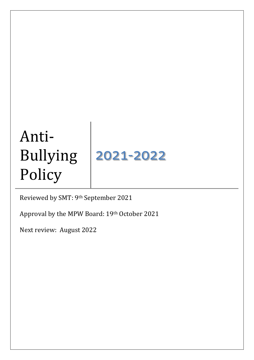# Anti-Bullying Policy 2021-2022

Reviewed by SMT: 9th September 2021

Approval by the MPW Board: 19th October 2021

Next review: August 2022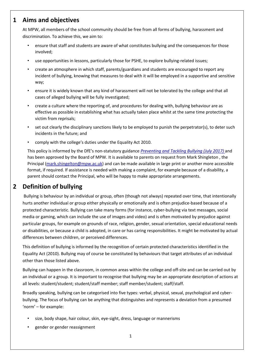### **1 Aims and objectives**

At MPW, all members of the school community should be free from all forms of bullying, harassment and discrimination. To achieve this, we aim to:

- ensure that staff and students are aware of what constitutes bullying and the consequences for those involved;
- use opportunities in lessons, particularly those for PSHE, to explore bullying-related issues;
- create an atmosphere in which staff, parents/guardians and students are encouraged to report any incident of bullying, knowing that measures to deal with it will be employed in a supportive and sensitive way;
- ensure it is widely known that any kind of harassment will not be tolerated by the college and that all cases of alleged bullying will be fully investigated;
- create a culture where the reporting of, and procedures for dealing with, bullying behaviour are as effective as possible in establishing what has actually taken place whilst at the same time protecting the victim from reprisals;
- set out clearly the disciplinary sanctions likely to be employed to punish the perpetrator(s), to deter such incidents in the future; and
- comply with the college's duties under the Equality Act 2010.

This policy is informed by the DfE's non-statutory guidance *[Preventing and Tackling Bullying \(July 2017\)](https://www.gov.uk/government/publications/preventing-and-tackling-bullying)* and has been approved by the Board of MPW. It is available to parents on request from Mark Shingleton , the Principal [\(mark.shingelton@mpw.ac.uk\)](mailto:mark.shingelton@mpw.ac.uk) and can be made available in large print or another more accessible format, if required. If assistance is needed with making a complaint, for example because of a disability, a parent should contact the Principal, who will be happy to make appropriate arrangements.

# **2 Definition of bullying**

Bullying is behaviour by an individual or group, often (though not always) repeated over time, that intentionally hurts another individual or group either physically or emotionally and is often prejudice-based because of a protected characteristic. Bullying can take many forms (for instance, cyber-bullying via text messages, social media or gaming, which can include the use of images and video) and is often motivated by prejudice against particular groups, for example on grounds of race, religion, gender, sexual orientation, special educational needs or disabilities, or because a child is adopted, in care or has caring responsibilities. It might be motivated by actual differences between children, or perceived differences.

This definition of bullying is informed by the recognition of certain protected characteristics identified in the Equality Act (2010). Bullying may of course be constituted by behaviours that target attributes of an individual other than those listed above.

Bullying can happen in the classroom, in common areas within the college and off-site and can be carried out by an individual or a group. It is important to recognise that bullying may be an appropriate description of actions at all levels: student/student; student/staff member; staff member/student; staff/staff.

Broadly speaking, bullying can be categorised into five types: verbal, physical, sexual, psychological and cyberbullying. The focus of bullying can be anything that distinguishes and represents a deviation from a presumed 'norm' – for example:

- size, body shape, hair colour, skin, eye-sight, dress, language or mannerisms
- gender or gender reassignment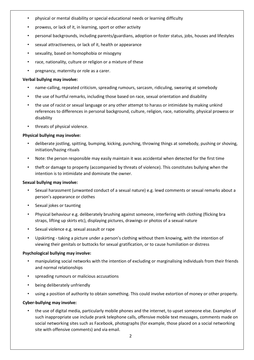- physical or mental disability or special educational needs or learning difficulty
- prowess, or lack of it, in learning, sport or other activity
- personal backgrounds, including parents/guardians, adoption or foster status, jobs, houses and lifestyles
- sexual attractiveness, or lack of it, health or appearance
- sexuality, based on homophobia or misogyny
- race, nationality, culture or religion or a mixture of these
- pregnancy, maternity or role as a carer.

#### **Verbal bullying may involve:**

- name-calling, repeated criticism, spreading rumours, sarcasm, ridiculing, swearing at somebody
- the use of hurtful remarks, including those based on race, sexual orientation and disability
- the use of racist or sexual language or any other attempt to harass or intimidate by making unkind references to differences in personal background, culture, religion, race, nationality, physical prowess or disability
- threats of physical violence.

#### **Physical bullying may involve:**

- deliberate jostling, spitting, bumping, kicking, punching, throwing things at somebody, pushing or shoving, initiation/hazing rituals
- Note: the person responsible may easily maintain it was accidental when detected for the first time
- theft or damage to property (accompanied by threats of violence). This constitutes bullying when the intention is to intimidate and dominate the owner.

#### **Sexual bullying may involve:**

- Sexual harassment (unwanted conduct of a sexual nature) e.g. lewd comments or sexual remarks about a person's appearance or clothes
- Sexual jokes or taunting
- Physical behaviour e.g. deliberately brushing against someone, interfering with clothing (flicking bra straps, lifting up skirts etc), displaying pictures, drawings or photos of a sexual nature
- Sexual violence e.g. sexual assault or rape
- Upskirting taking a picture under a person's clothing without them knowing, with the intention of viewing their genitals or buttocks for sexual gratification, or to cause humiliation or distress

#### **Psychological bullying may involve:**

- manipulating social networks with the intention of excluding or marginalising individuals from their friends and normal relationships
- spreading rumours or malicious accusations
- being deliberately unfriendly
- using a position of authority to obtain something. This could involve extortion of money or other property.

#### **Cyber-bullying may involve:**

• the use of digital media, particularly mobile phones and the internet, to upset someone else. Examples of such inappropriate use include prank telephone calls, offensive mobile text messages, comments made on social networking sites such as Facebook, photographs (for example, those placed on a social networking site with offensive comments) and via email.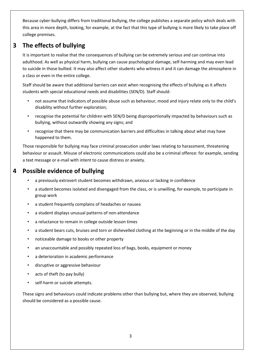Because cyber-bullying differs from traditional bullying, the college publishes a separate policy which deals with this area in more depth, looking, for example, at the fact that this type of bullying is more likely to take place off college premises.

# **3 The effects of bullying**

It is important to realise that the consequences of bullying can be extremely serious and can continue into adulthood. As well as physical harm, bullying can cause psychological damage, self-harming and may even lead to suicide in those bullied. It may also affect other students who witness it and it can damage the atmosphere in a class or even in the entire college.

Staff should be aware that additional barriers can exist when recognising the effects of bullying as it affects students with special educational needs and disabilities (SEN/D). Staff should:

- not assume that indicators of possible abuse such as behaviour, mood and injury relate only to the child's disability without further exploration;
- recognise the potential for children with SEN/D being disproportionally impacted by behaviours such as bullying, without outwardly showing any signs; and
- recognise that there may be communication barriers and difficulties in talking about what may have happened to them.

Those responsible for bullying may face criminal prosecution under laws relating to harassment, threatening behaviour or assault. Misuse of electronic communications could also be a criminal offence: for example, sending a text message or e-mail with intent to cause distress or anxiety.

# **4 Possible evidence of bullying**

- a previously extrovert student becomes withdrawn, anxious or lacking in confidence
- a student becomes isolated and disengaged from the class, or is unwilling, for example, to participate in group work
- a student frequently complains of headaches or nausea
- a student displays unusual patterns of non-attendance
- a reluctance to remain in college outside lesson times
- a student bears cuts, bruises and torn or dishevelled clothing at the beginning or in the middle of the day
- noticeable damage to books or other property
- an unaccountable and possibly repeated loss of bags, books, equipment or money
- a deterioration in academic performance
- disruptive or aggressive behaviour
- acts of theft (to pay bully)
- self-harm or suicide attempts.

These signs and behaviours could indicate problems other than bullying but, where they are observed, bullying should be considered as a possible cause.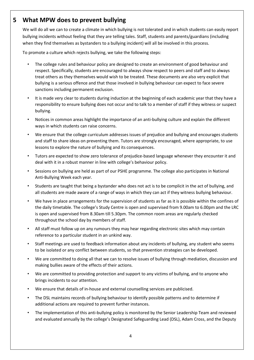## **5 What MPW does to prevent bullying**

We will do all we can to create a climate in which bullying is not tolerated and in which students can easily report bullying incidents without feeling that they are telling tales. Staff, students and parents/guardians (including when they find themselves as bystanders to a bullying incident) will all be involved in this process.

To promote a culture which rejects bullying, we take the following steps:

- The college rules and behaviour policy are designed to create an environment of good behaviour and respect. Specifically, students are encouraged to always show respect to peers and staff and to always treat others as they themselves would wish to be treated. These documents are also very explicit that bullying is a serious offence and that those involved in bullying behaviour can expect to face severe sanctions including permanent exclusion.
- It is made very clear to students during induction at the beginning of each academic year that they have a responsibility to ensure bullying does not occur and to talk to a member of staff if they witness or suspect bullying.
- Notices in common areas highlight the importance of an anti-bullying culture and explain the different ways in which students can raise concerns.
- We ensure that the college curriculum addresses issues of prejudice and bullying and encourages students and staff to share ideas on preventing them. Tutors are strongly encouraged, where appropriate, to use lessons to explore the nature of bullying and its consequences.
- Tutors are expected to show zero tolerance of prejudice-based language whenever they encounter it and deal with it in a robust manner in line with college's behaviour policy.
- Sessions on bullying are held as part of our PSHE programme. The college also participates in National Anti-Bullying Week each year.
- Students are taught that being a bystander who does not act is to be complicit in the act of bullying, and all students are made aware of a range of ways in which they can act if they witness bullying behaviour.
- We have in place arrangements for the supervision of students as far as it is possible within the confines of the daily timetable. The college's Study Centre is open and supervised from 9.00am to 6.00pm and the LRC is open and supervised from 8.30am till 5.30pm. The common room areas are regularly checked throughout the school day by members of staff.
- All staff must follow up on any rumours they may hear regarding electronic sites which may contain reference to a particular student in an unkind way.
- Staff meetings are used to feedback information about any incidents of bullying, any student who seems to be isolated or any conflict between students, so that prevention strategies can be developed.
- We are committed to doing all that we can to resolve issues of bullying through mediation, discussion and making bullies aware of the effects of their actions.
- We are committed to providing protection and support to any victims of bullying, and to anyone who brings incidents to our attention.
- We ensure that details of in-house and external counselling services are publicised.
- The DSL maintains records of bullying behaviour to identify possible patterns and to determine if additional actions are required to prevent further instances.
- The implementation of this anti-bullying policy is monitored by the Senior Leadership Team and reviewed and evaluated annually by the college's Designated Safeguarding Lead (DSL), Adam Cross, and the Deputy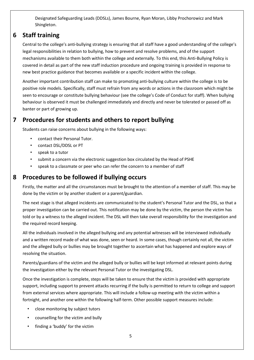Designated Safeguarding Leads (DDSLs), James Bourne, Ryan Moran, Libby Prochorowicz and Mark Shingleton.

# **6 Staff training**

Central to the college's anti-bullying strategy is ensuring that all staff have a good understanding of the college's legal responsibilities in relation to bullying, how to prevent and resolve problems, and of the support mechanisms available to them both within the college and externally. To this end, this Anti-Bullying Policy is covered in detail as part of the new staff induction procedure and ongoing training is provided in response to new best practice guidance that becomes available or a specific incident within the college.

Another important contribution staff can make to promoting anti-bullying culture within the college is to be positive role models. Specifically, staff must refrain from any words or actions in the classroom which might be seen to encourage or constitute bullying behaviour (see the college's Code of Conduct for staff). When bullying behaviour is observed it must be challenged immediately and directly and never be tolerated or passed off as banter or part of growing up.

# **7 Procedures for students and others to report bullying**

Students can raise concerns about bullying in the following ways:

- contact their Personal Tutor.
- contact DSL/DDSL or PT
- speak to a tutor
- submit a concern via the electronic suggestion box circulated by the Head of PSHE
- speak to a classmate or peer who can refer the concern to a member of staff

## **8 Procedures to be followed if bullying occurs**

Firstly, the matter and all the circumstances must be brought to the attention of a member of staff. This may be done by the victim or by another student or a parent/guardian.

The next stage is that alleged incidents are communicated to the student's Personal Tutor and the DSL, so that a proper investigation can be carried out. This notification may be done by the victim, the person the victim has told or by a witness to the alleged incident. The DSL will then take overall responsibility for the investigation and the required record keeping.

All the individuals involved in the alleged bullying and any potential witnesses will be interviewed individually and a written record made of what was done, seen or heard. In some cases, though certainly not all, the victim and the alleged bully or bullies may be brought together to ascertain what has happened and explore ways of resolving the situation.

Parents/guardians of the victim and the alleged bully or bullies will be kept informed at relevant points during the investigation either by the relevant Personal Tutor or the investigating DSL.

Once the investigation is complete, steps will be taken to ensure that the victim is provided with appropriate support, including support to prevent attacks recurring if the bully is permitted to return to college and support from external services where appropriate. This will include a follow-up meeting with the victim within a fortnight, and another one within the following half-term. Other possible support measures include:

- close monitoring by subject tutors
- counselling for the victim and bully
- finding a 'buddy' for the victim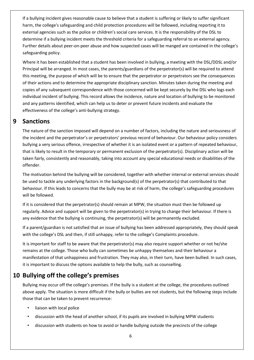If a bullying incident gives reasonable cause to believe that a student is suffering or likely to suffer significant harm, the college's safeguarding and child protection procedures will be followed, including reporting it to external agencies such as the police or children's social care services. It is the responsibility of the DSL to determine if a bullying incident meets the threshold criteria for a safeguarding referral to an external agency. Further details about peer-on-peer abuse and how suspected cases will be manged are contained in the college's safeguarding policy.

Where it has been established that a student has been involved in bullying, a meeting with the DSL/DDSL and/or Principal will be arranged. In most cases, the parents/guardians of the perpetrator(s) will be required to attend this meeting, the purpose of which will be to ensure that the perpetrator or perpetrators see the consequences of their actions and to determine the appropriate disciplinary sanction. Minutes taken during the meeting and copies of any subsequent correspondence with those concerned will be kept securely by the DSL who logs each individual incident of bullying. This record allows the incidence, nature and location of bullying to be monitored and any patterns identified, which can help us to deter or prevent future incidents and evaluate the effectiveness of the college's anti-bullying strategy.

#### **9 Sanctions**

The nature of the sanction imposed will depend on a number of factors, including the nature and seriousness of the incident and the perpetrator's or perpetrators' previous record of behaviour. Our behaviour policy considers bullying a very serious offence, irrespective of whether it is an isolated event or a pattern of repeated behaviour, that is likely to result in the temporary or permanent exclusion of the perpetrator(s). Disciplinary action will be taken fairly, consistently and reasonably, taking into account any special educational needs or disabilities of the offender.

The motivation behind the bullying will be considered, together with whether internal or external services should be used to tackle any underlying factors in the background(s) of the perpetrator(s) that contributed to that behaviour. If this leads to concerns that the bully may be at risk of harm, the college's safeguarding procedures will be followed.

If it is considered that the perpetrator(s) should remain at MPW, the situation must then be followed up regularly. Advice and support will be given to the perpetrator(s) in trying to change their behaviour. If there is any evidence that the bullying is continuing, the perpetrator(s) will be permanently excluded.

If a parent/guardian is not satisfied that an issue of bullying has been addressed appropriately, they should speak with the college's DSL and then, if still unhappy, refer to the college's Complaints procedure.

It is important for staff to be aware that the perpetrator(s) may also require support whether or not he/she remains at the college. Those who bully can sometimes be unhappy themselves and their behaviour a manifestation of that unhappiness and frustration. They may also, in their turn, have been bullied. In such cases, it is important to discuss the options available to help the bully, such as counselling.

# **10 Bullying off the college's premises**

Bullying may occur off the college's premises. If the bully is a student at the college, the procedures outlined above apply. The situation is more difficult if the bully or bullies are not students, but the following steps include those that can be taken to prevent recurrence:

- liaison with local police
- discussion with the head of another school, if its pupils are involved in bullying MPW students
- discussion with students on how to avoid or handle bullying outside the precincts of the college